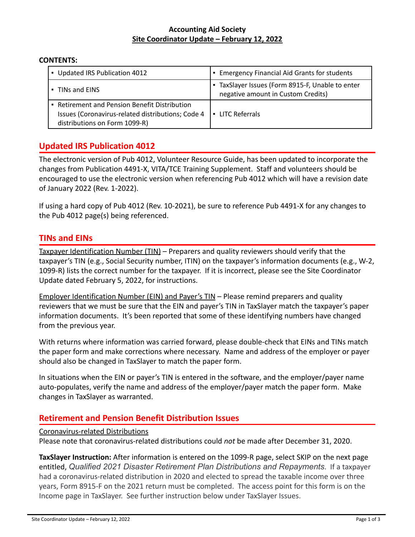#### **Accounting Aid Society Site Coordinator Update – February 12, 2022**

#### **CONTENTS:**

| • Updated IRS Publication 4012                                                                                                      | • Emergency Financial Aid Grants for students                                        |
|-------------------------------------------------------------------------------------------------------------------------------------|--------------------------------------------------------------------------------------|
| • TINs and EINS                                                                                                                     | TaxSlayer Issues (Form 8915-F, Unable to enter<br>negative amount in Custom Credits) |
| • Retirement and Pension Benefit Distribution<br>Issues (Coronavirus-related distributions; Code 4<br>distributions on Form 1099-R) | LITC Referrals<br>$\blacksquare$                                                     |

## **Updated IRS Publication 4012**

The electronic version of Pub 4012, Volunteer Resource Guide, has been updated to incorporate the changes from Publication 4491-X, VITA/TCE Training Supplement. Staff and volunteers should be encouraged to use the electronic version when referencing Pub 4012 which will have a revision date of January 2022 (Rev. 1-2022).

If using a hard copy of Pub 4012 (Rev. 10-2021), be sure to reference Pub 4491-X for any changes to the Pub 4012 page(s) being referenced.

### **TINs and EINs**

Taxpayer Identification Number (TIN) – Preparers and quality reviewers should verify that the taxpayer's TIN (e.g., Social Security number, ITIN) on the taxpayer's information documents (e.g., W-2, 1099-R) lists the correct number for the taxpayer. If it is incorrect, please see the Site Coordinator Update dated February 5, 2022, for instructions.

Employer Identification Number (EIN) and Payer's TIN – Please remind preparers and quality reviewers that we must be sure that the EIN and payer's TIN in TaxSlayer match the taxpayer's paper information documents. It's been reported that some of these identifying numbers have changed from the previous year.

With returns where information was carried forward, please double-check that EINs and TINs match the paper form and make corrections where necessary. Name and address of the employer or payer should also be changed in TaxSlayer to match the paper form.

In situations when the EIN or payer's TIN is entered in the software, and the employer/payer name auto-populates, verify the name and address of the employer/payer match the paper form. Make changes in TaxSlayer as warranted.

## **Retirement and Pension Benefit Distribution Issues**

#### Coronavirus-related Distributions

Please note that coronavirus-related distributions could *not* be made after December 31, 2020.

**TaxSlayer Instruction:** After information is entered on the 1099-R page, select SKIP on the next page entitled, *Qualified 2021 Disaster Retirement Plan Distributions and Repayments*. If a taxpayer had a coronavirus-related distribution in 2020 and elected to spread the taxable income over three years, Form 8915-F on the 2021 return must be completed. The access point for this form is on the Income page in TaxSlayer. See further instruction below under TaxSlayer Issues.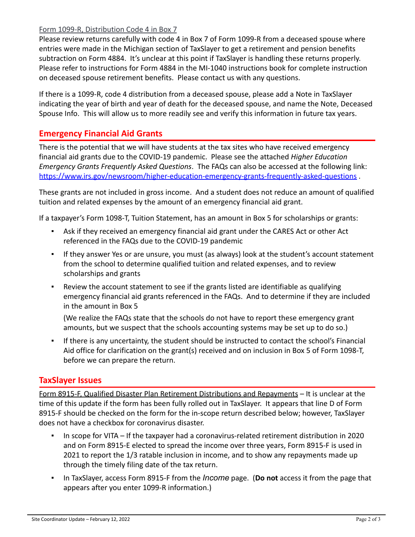### Form 1099-R, Distribution Code 4 in Box 7

Please review returns carefully with code 4 in Box 7 of Form 1099-R from a deceased spouse where entries were made in the Michigan section of TaxSlayer to get a retirement and pension benefits subtraction on Form 4884. It's unclear at this point if TaxSlayer is handling these returns properly. Please refer to instructions for Form 4884 in the MI-1040 instructions book for complete instruction on deceased spouse retirement benefits. Please contact us with any questions.

If there is a 1099-R, code 4 distribution from a deceased spouse, please add a Note in TaxSlayer indicating the year of birth and year of death for the deceased spouse, and name the Note, Deceased Spouse Info. This will allow us to more readily see and verify this information in future tax years.

# **Emergency Financial Aid Grants**

There is the potential that we will have students at the tax sites who have received emergency financial aid grants due to the COVID-19 pandemic. Please see the attached *Higher Education Emergency Grants Frequently Asked Questions*. The FAQs can also be accessed at the following link: <https://www.irs.gov/newsroom/higher-education-emergency-grants-frequently-asked-questions> .

These grants are not included in gross income. And a student does not reduce an amount of qualified tuition and related expenses by the amount of an emergency financial aid grant.

If a taxpayer's Form 1098-T, Tuition Statement, has an amount in Box 5 for scholarships or grants:

- Ask if they received an emergency financial aid grant under the CARES Act or other Act referenced in the FAQs due to the COVID-19 pandemic
- If they answer Yes or are unsure, you must (as always) look at the student's account statement from the school to determine qualified tuition and related expenses, and to review scholarships and grants
- Review the account statement to see if the grants listed are identifiable as qualifying emergency financial aid grants referenced in the FAQs. And to determine if they are included in the amount in Box 5

(We realize the FAQs state that the schools do not have to report these emergency grant amounts, but we suspect that the schools accounting systems may be set up to do so.)

▪ If there is any uncertainty, the student should be instructed to contact the school's Financial Aid office for clarification on the grant(s) received and on inclusion in Box 5 of Form 1098-T, before we can prepare the return.

## **TaxSlayer Issues**

Form 8915-F, Qualified Disaster Plan Retirement Distributions and Repayments – It is unclear at the time of this update if the form has been fully rolled out in TaxSlayer. It appears that line D of Form 8915-F should be checked on the form for the in-scope return described below; however, TaxSlayer does not have a checkbox for coronavirus disaster.

- In scope for VITA If the taxpayer had a coronavirus-related retirement distribution in 2020 and on Form 8915-E elected to spread the income over three years, Form 8915-F is used in 2021 to report the 1/3 ratable inclusion in income, and to show any repayments made up through the timely filing date of the tax return.
- In TaxSlayer, access Form 8915-F from the *Income* page. (**Do not** access it from the page that appears after you enter 1099-R information.)